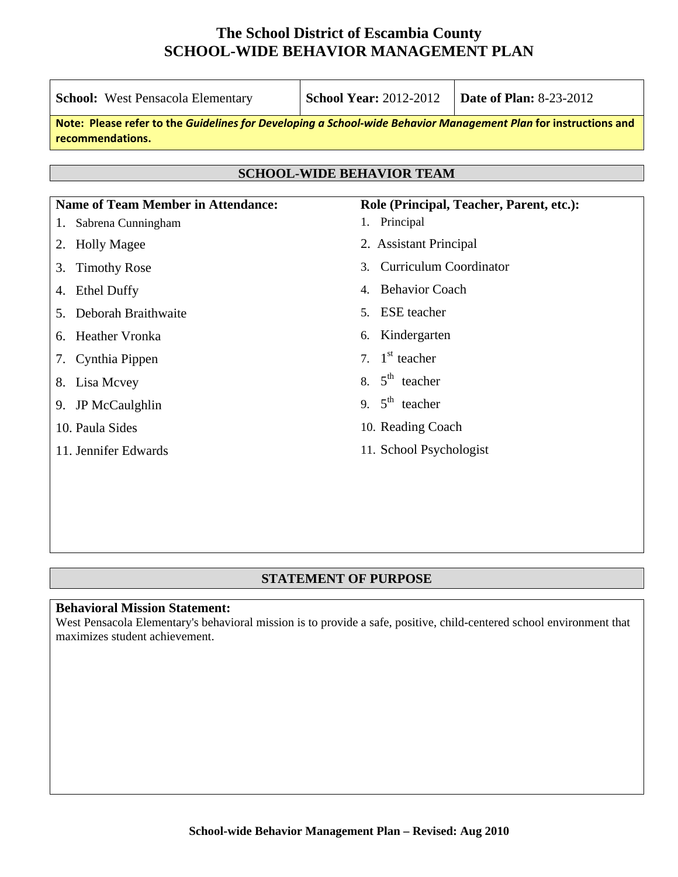| <b>School:</b> West Pensacola Elementary                                                                                            | <b>School Year: 2012-2012</b>           | <b>Date of Plan: 8-23-2012</b> |  |  |  |  |  |
|-------------------------------------------------------------------------------------------------------------------------------------|-----------------------------------------|--------------------------------|--|--|--|--|--|
| Note: Please refer to the Guidelines for Developing a School-wide Behavior Management Plan for instructions and<br>recommendations. |                                         |                                |  |  |  |  |  |
| <b>SCHOOL-WIDE BEHAVIOR TEAM</b>                                                                                                    |                                         |                                |  |  |  |  |  |
| <b>Name of Team Member in Attendance:</b><br>Role (Principal, Teacher, Parent, etc.):                                               |                                         |                                |  |  |  |  |  |
| Sabrena Cunningham                                                                                                                  | 1. Principal                            |                                |  |  |  |  |  |
| <b>Holly Magee</b><br>2.                                                                                                            | 2. Assistant Principal                  |                                |  |  |  |  |  |
| <b>Timothy Rose</b><br>3.                                                                                                           | <b>Curriculum Coordinator</b><br>3.     |                                |  |  |  |  |  |
| <b>Ethel Duffy</b><br>4.                                                                                                            | <b>Behavior Coach</b><br>$\mathbf{4}$ . |                                |  |  |  |  |  |
| Deborah Braithwaite<br>5.                                                                                                           | <b>ESE</b> teacher<br>5 <sub>1</sub>    |                                |  |  |  |  |  |
| <b>Heather Vronka</b><br>6.                                                                                                         | Kindergarten<br>6.                      |                                |  |  |  |  |  |
| Cynthia Pippen<br>7.                                                                                                                | $1st$ teacher<br>7 <sup>7</sup>         |                                |  |  |  |  |  |
| Lisa Mcvey<br>8.                                                                                                                    | 8. $5th$ teacher                        |                                |  |  |  |  |  |
| <b>JP McCaulghlin</b><br>9.                                                                                                         | 9. $5^{\text{th}}$ teacher              |                                |  |  |  |  |  |
| 10. Paula Sides                                                                                                                     | 10. Reading Coach                       |                                |  |  |  |  |  |
| 11. Jennifer Edwards                                                                                                                | 11. School Psychologist                 |                                |  |  |  |  |  |
|                                                                                                                                     |                                         |                                |  |  |  |  |  |
|                                                                                                                                     |                                         |                                |  |  |  |  |  |

#### **STATEMENT OF PURPOSE**

#### **Behavioral Mission Statement:**

West Pensacola Elementary's behavioral mission is to provide a safe, positive, child-centered school environment that maximizes student achievement.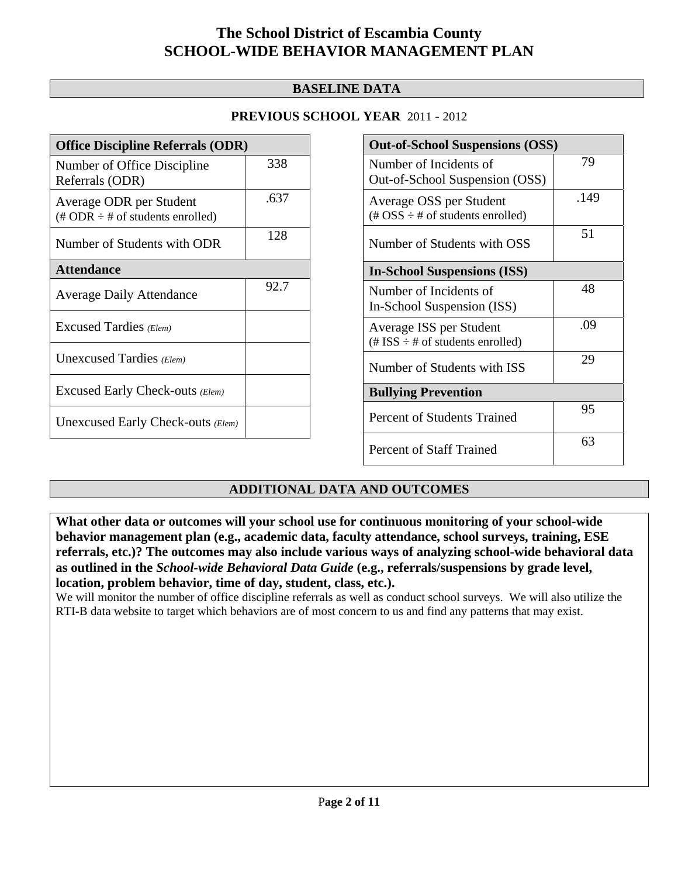### **BASELINE DATA**

### **PREVIOUS SCHOOL YEAR** 2011 - 2012

| <b>Office Discipline Referrals (ODR)</b>                                         |      |  |  |
|----------------------------------------------------------------------------------|------|--|--|
| Number of Office Discipline<br>Referrals (ODR)                                   | 338  |  |  |
| Average ODR per Student<br>$(\text{\# ODR} \div \text{\# of students enrolled})$ | .637 |  |  |
| Number of Students with ODR                                                      | 128  |  |  |
| <b>Attendance</b>                                                                |      |  |  |
| <b>Average Daily Attendance</b>                                                  | 92.7 |  |  |
| Excused Tardies (Elem)                                                           |      |  |  |
| Unexcused Tardies (Elem)                                                         |      |  |  |
| Excused Early Check-outs (Elem)                                                  |      |  |  |
| Unexcused Early Check-outs (Elem)                                                |      |  |  |

| <b>Out-of-School Suspensions (OSS)</b>                                                          |      |  |  |  |
|-------------------------------------------------------------------------------------------------|------|--|--|--|
| Number of Incidents of<br>Out-of-School Suspension (OSS)                                        | 79   |  |  |  |
| Average OSS per Student<br>$(\text{\#} \text{OSS} \div \text{\#} \text{ of students enrolled})$ | .149 |  |  |  |
| Number of Students with OSS                                                                     | 51   |  |  |  |
| <b>In-School Suspensions (ISS)</b>                                                              |      |  |  |  |
| Number of Incidents of<br>In-School Suspension (ISS)                                            | 48   |  |  |  |
| Average ISS per Student<br>$(\text{\# ISS} \div \text{\# of students enrolled})$                | .09  |  |  |  |
| Number of Students with ISS                                                                     | 29   |  |  |  |
| <b>Bullying Prevention</b>                                                                      |      |  |  |  |
| Percent of Students Trained                                                                     | 95   |  |  |  |
| <b>Percent of Staff Trained</b>                                                                 | 63   |  |  |  |

## **ADDITIONAL DATA AND OUTCOMES**

**What other data or outcomes will your school use for continuous monitoring of your school-wide behavior management plan (e.g., academic data, faculty attendance, school surveys, training, ESE referrals, etc.)? The outcomes may also include various ways of analyzing school-wide behavioral data as outlined in the** *School-wide Behavioral Data Guide* **(e.g., referrals/suspensions by grade level, location, problem behavior, time of day, student, class, etc.).**

We will monitor the number of office discipline referrals as well as conduct school surveys. We will also utilize the RTI-B data website to target which behaviors are of most concern to us and find any patterns that may exist.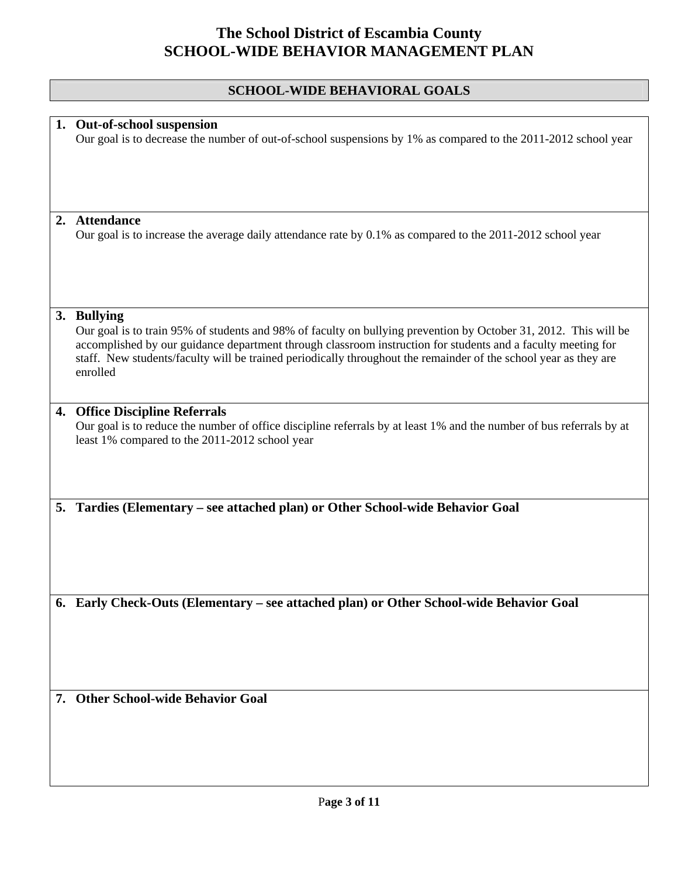# **SCHOOL-WIDE BEHAVIORAL GOALS**

|    | 1. Out-of-school suspension<br>Our goal is to decrease the number of out-of-school suspensions by 1% as compared to the 2011-2012 school year                                                                                                                                                                                                                    |
|----|------------------------------------------------------------------------------------------------------------------------------------------------------------------------------------------------------------------------------------------------------------------------------------------------------------------------------------------------------------------|
|    |                                                                                                                                                                                                                                                                                                                                                                  |
|    |                                                                                                                                                                                                                                                                                                                                                                  |
| 2. | <b>Attendance</b>                                                                                                                                                                                                                                                                                                                                                |
|    | Our goal is to increase the average daily attendance rate by 0.1% as compared to the 2011-2012 school year                                                                                                                                                                                                                                                       |
|    | 3. Bullying                                                                                                                                                                                                                                                                                                                                                      |
|    | Our goal is to train 95% of students and 98% of faculty on bullying prevention by October 31, 2012. This will be<br>accomplished by our guidance department through classroom instruction for students and a faculty meeting for<br>staff. New students/faculty will be trained periodically throughout the remainder of the school year as they are<br>enrolled |
|    | 4. Office Discipline Referrals                                                                                                                                                                                                                                                                                                                                   |
|    | Our goal is to reduce the number of office discipline referrals by at least 1% and the number of bus referrals by at<br>least 1% compared to the 2011-2012 school year                                                                                                                                                                                           |
|    | 5. Tardies (Elementary - see attached plan) or Other School-wide Behavior Goal                                                                                                                                                                                                                                                                                   |
|    |                                                                                                                                                                                                                                                                                                                                                                  |
|    | Early Check-Outs (Elementary - see attached plan) or Other School-wide Behavior Goal                                                                                                                                                                                                                                                                             |
|    |                                                                                                                                                                                                                                                                                                                                                                  |
|    | 7. Other School-wide Behavior Goal                                                                                                                                                                                                                                                                                                                               |
|    |                                                                                                                                                                                                                                                                                                                                                                  |
|    |                                                                                                                                                                                                                                                                                                                                                                  |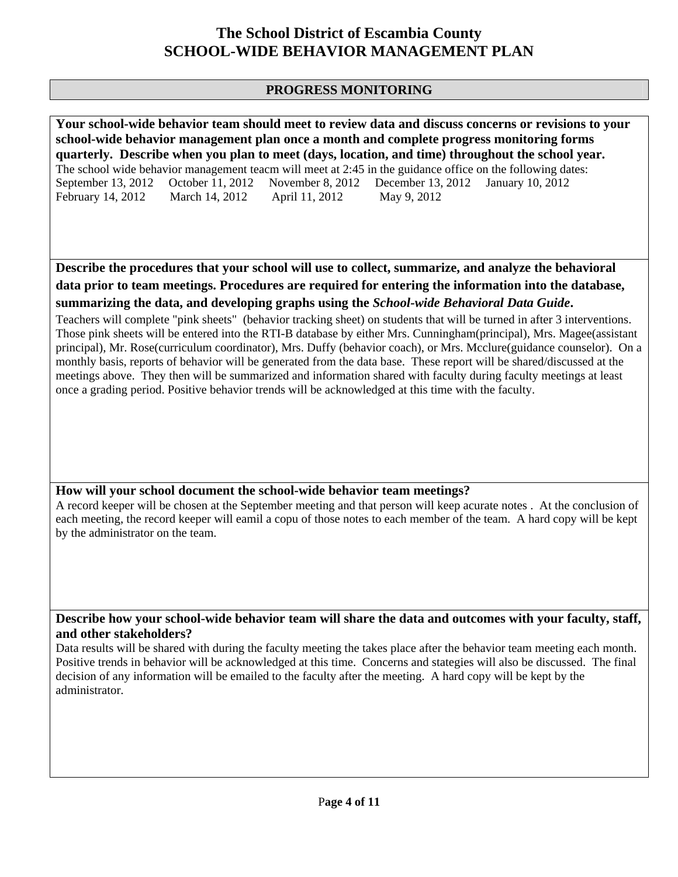### **PROGRESS MONITORING**

**Your school-wide behavior team should meet to review data and discuss concerns or revisions to your school-wide behavior management plan once a month and complete progress monitoring forms quarterly. Describe when you plan to meet (days, location, and time) throughout the school year.**  The school wide behavior management teacm will meet at 2:45 in the guidance office on the following dates: September 13, 2012 October 11, 2012 November 8, 2012 December 13, 2012 January 10, 2012<br>February 14, 2012 March 14, 2012 April 11, 2012 May 9, 2012 February 14, 2012 March 14, 2012 April 11, 2012

**Describe the procedures that your school will use to collect, summarize, and analyze the behavioral data prior to team meetings. Procedures are required for entering the information into the database, summarizing the data, and developing graphs using the** *School-wide Behavioral Data Guide***.** 

Teachers will complete "pink sheets" (behavior tracking sheet) on students that will be turned in after 3 interventions. Those pink sheets will be entered into the RTI-B database by either Mrs. Cunningham(principal), Mrs. Magee(assistant principal), Mr. Rose(curriculum coordinator), Mrs. Duffy (behavior coach), or Mrs. Mcclure(guidance counselor). On a monthly basis, reports of behavior will be generated from the data base. These report will be shared/discussed at the meetings above. They then will be summarized and information shared with faculty during faculty meetings at least once a grading period. Positive behavior trends will be acknowledged at this time with the faculty.

### **How will your school document the school-wide behavior team meetings?**

A record keeper will be chosen at the September meeting and that person will keep acurate notes . At the conclusion of each meeting, the record keeper will eamil a copu of those notes to each member of the team. A hard copy will be kept by the administrator on the team.

**Describe how your school-wide behavior team will share the data and outcomes with your faculty, staff, and other stakeholders?** 

Data results will be shared with during the faculty meeting the takes place after the behavior team meeting each month. Positive trends in behavior will be acknowledged at this time. Concerns and stategies will also be discussed. The final decision of any information will be emailed to the faculty after the meeting. A hard copy will be kept by the administrator.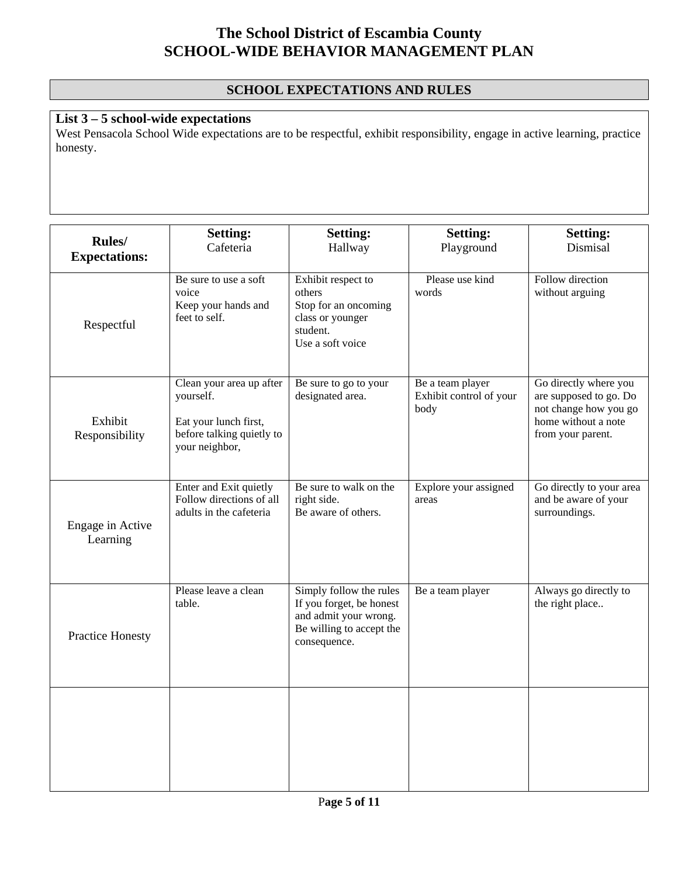## **SCHOOL EXPECTATIONS AND RULES**

## **List 3 – 5 school-wide expectations**

West Pensacola School Wide expectations are to be respectful, exhibit responsibility, engage in active learning, practice honesty.

| Rules/<br><b>Expectations:</b> | <b>Setting:</b><br>Cafeteria                                                                                  | <b>Setting:</b><br>Hallway                                                                                               | <b>Setting:</b><br>Playground                       | <b>Setting:</b><br>Dismisal                                                                                          |
|--------------------------------|---------------------------------------------------------------------------------------------------------------|--------------------------------------------------------------------------------------------------------------------------|-----------------------------------------------------|----------------------------------------------------------------------------------------------------------------------|
| Respectful                     | Be sure to use a soft<br>voice<br>Keep your hands and<br>feet to self.                                        | Exhibit respect to<br>others<br>Stop for an oncoming<br>class or younger<br>student.<br>Use a soft voice                 | Please use kind<br>words                            | Follow direction<br>without arguing                                                                                  |
| Exhibit<br>Responsibility      | Clean your area up after<br>yourself.<br>Eat your lunch first,<br>before talking quietly to<br>your neighbor, | Be sure to go to your<br>designated area.                                                                                | Be a team player<br>Exhibit control of your<br>body | Go directly where you<br>are supposed to go. Do<br>not change how you go<br>home without a note<br>from your parent. |
| Engage in Active<br>Learning   | Enter and Exit quietly<br>Follow directions of all<br>adults in the cafeteria                                 | Be sure to walk on the<br>right side.<br>Be aware of others.                                                             | Explore your assigned<br>areas                      | Go directly to your area<br>and be aware of your<br>surroundings.                                                    |
| <b>Practice Honesty</b>        | Please leave a clean<br>table.                                                                                | Simply follow the rules<br>If you forget, be honest<br>and admit your wrong.<br>Be willing to accept the<br>consequence. | Be a team player                                    | Always go directly to<br>the right place                                                                             |
|                                |                                                                                                               |                                                                                                                          |                                                     |                                                                                                                      |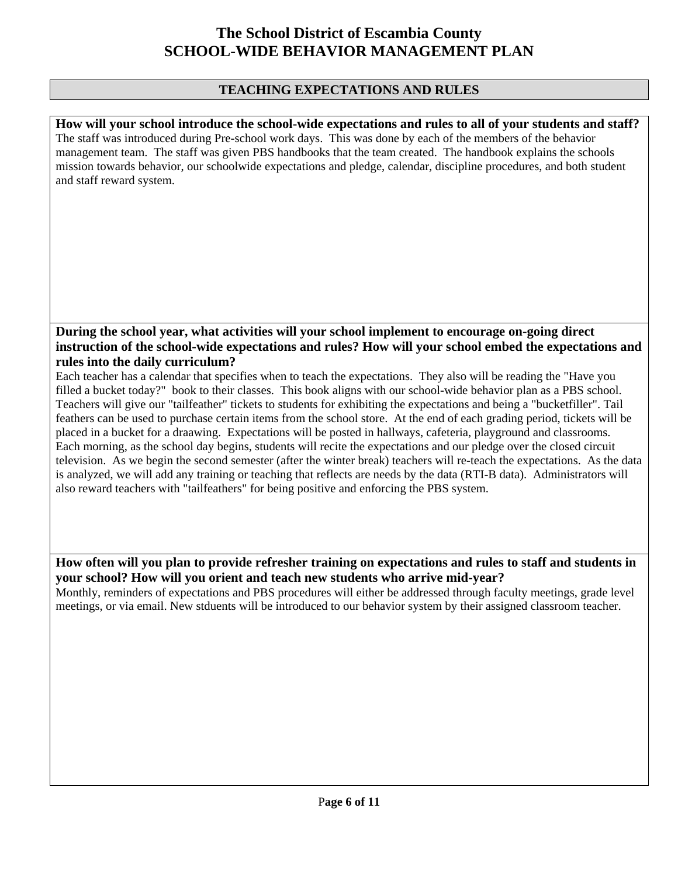### **TEACHING EXPECTATIONS AND RULES**

**How will your school introduce the school-wide expectations and rules to all of your students and staff?**  The staff was introduced during Pre-school work days. This was done by each of the members of the behavior management team. The staff was given PBS handbooks that the team created. The handbook explains the schools mission towards behavior, our schoolwide expectations and pledge, calendar, discipline procedures, and both student and staff reward system.

### **During the school year, what activities will your school implement to encourage on-going direct instruction of the school-wide expectations and rules? How will your school embed the expectations and rules into the daily curriculum?**

Each teacher has a calendar that specifies when to teach the expectations. They also will be reading the "Have you filled a bucket today?" book to their classes. This book aligns with our school-wide behavior plan as a PBS school. Teachers will give our "tailfeather" tickets to students for exhibiting the expectations and being a "bucketfiller". Tail feathers can be used to purchase certain items from the school store. At the end of each grading period, tickets will be placed in a bucket for a draawing. Expectations will be posted in hallways, cafeteria, playground and classrooms. Each morning, as the school day begins, students will recite the expectations and our pledge over the closed circuit television. As we begin the second semester (after the winter break) teachers will re-teach the expectations. As the data is analyzed, we will add any training or teaching that reflects are needs by the data (RTI-B data). Administrators will also reward teachers with "tailfeathers" for being positive and enforcing the PBS system.

## **How often will you plan to provide refresher training on expectations and rules to staff and students in your school? How will you orient and teach new students who arrive mid-year?**

Monthly, reminders of expectations and PBS procedures will either be addressed through faculty meetings, grade level meetings, or via email. New stduents will be introduced to our behavior system by their assigned classroom teacher.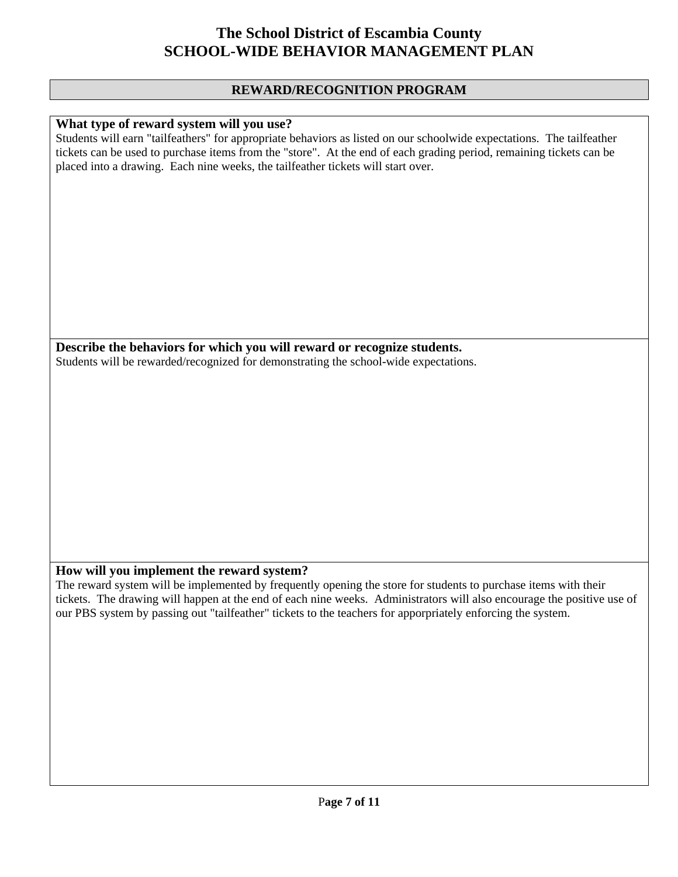#### **REWARD/RECOGNITION PROGRAM**

#### **What type of reward system will you use?**

Students will earn "tailfeathers" for appropriate behaviors as listed on our schoolwide expectations. The tailfeather tickets can be used to purchase items from the "store". At the end of each grading period, remaining tickets can be placed into a drawing. Each nine weeks, the tailfeather tickets will start over.

**Describe the behaviors for which you will reward or recognize students.**  Students will be rewarded/recognized for demonstrating the school-wide expectations.

#### **How will you implement the reward system?**

The reward system will be implemented by frequently opening the store for students to purchase items with their tickets. The drawing will happen at the end of each nine weeks. Administrators will also encourage the positive use of our PBS system by passing out "tailfeather" tickets to the teachers for apporpriately enforcing the system.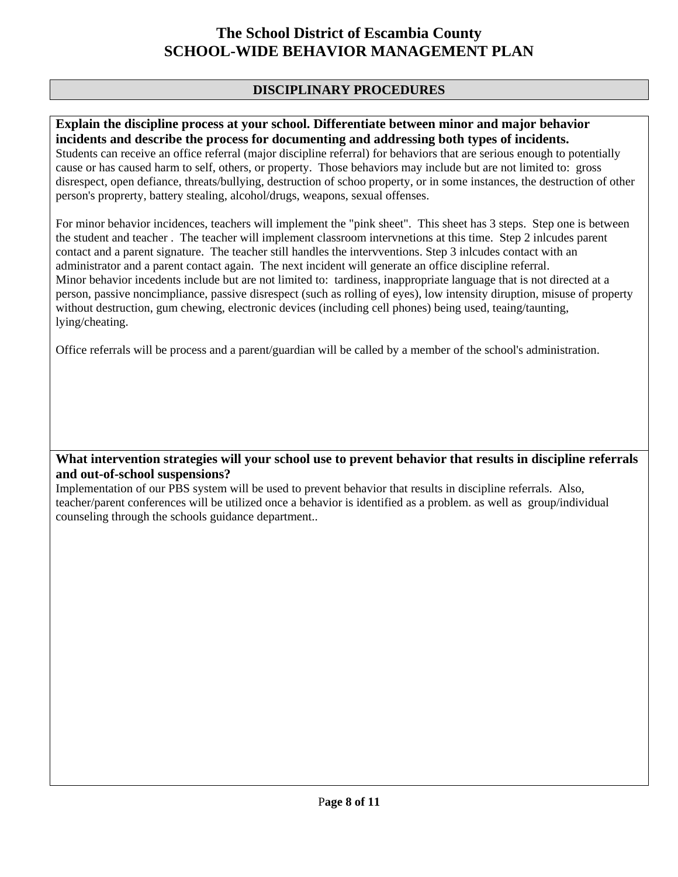### **DISCIPLINARY PROCEDURES**

### **Explain the discipline process at your school. Differentiate between minor and major behavior incidents and describe the process for documenting and addressing both types of incidents.**

Students can receive an office referral (major discipline referral) for behaviors that are serious enough to potentially cause or has caused harm to self, others, or property. Those behaviors may include but are not limited to: gross disrespect, open defiance, threats/bullying, destruction of schoo property, or in some instances, the destruction of other person's proprerty, battery stealing, alcohol/drugs, weapons, sexual offenses.

For minor behavior incidences, teachers will implement the "pink sheet". This sheet has 3 steps. Step one is between the student and teacher . The teacher will implement classroom intervnetions at this time. Step 2 inlcudes parent contact and a parent signature. The teacher still handles the intervventions. Step 3 inlcudes contact with an administrator and a parent contact again. The next incident will generate an office discipline referral. Minor behavior incedents include but are not limited to: tardiness, inappropriate language that is not directed at a person, passive noncimpliance, passive disrespect (such as rolling of eyes), low intensity diruption, misuse of property without destruction, gum chewing, electronic devices (including cell phones) being used, teaing/taunting, lying/cheating.

Office referrals will be process and a parent/guardian will be called by a member of the school's administration.

### **What intervention strategies will your school use to prevent behavior that results in discipline referrals and out-of-school suspensions?**

Implementation of our PBS system will be used to prevent behavior that results in discipline referrals. Also, teacher/parent conferences will be utilized once a behavior is identified as a problem. as well as group/individual counseling through the schools guidance department..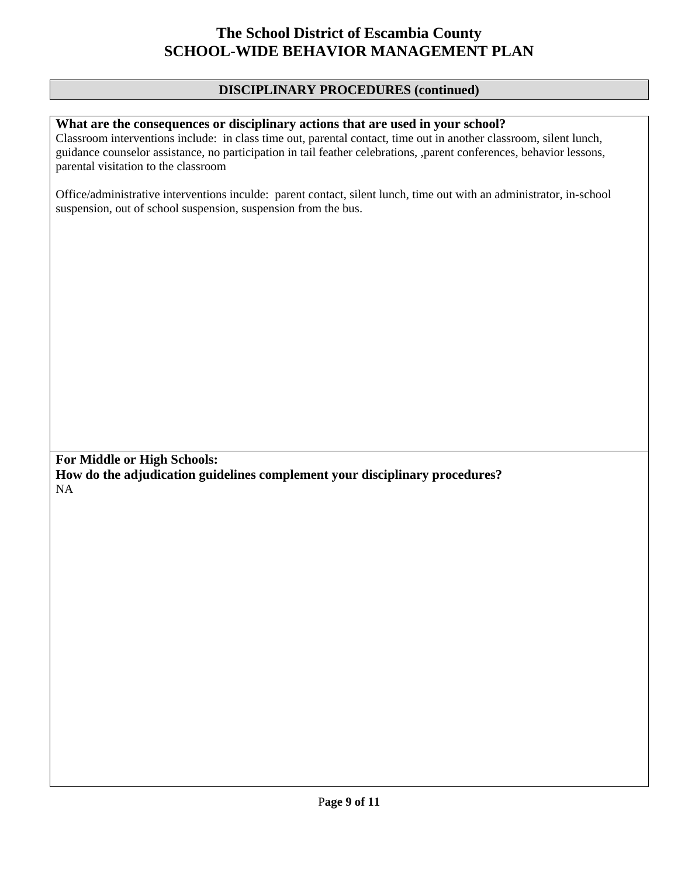#### **DISCIPLINARY PROCEDURES (continued)**

#### **What are the consequences or disciplinary actions that are used in your school?**

Classroom interventions include: in class time out, parental contact, time out in another classroom, silent lunch, guidance counselor assistance, no participation in tail feather celebrations, ,parent conferences, behavior lessons, parental visitation to the classroom

Office/administrative interventions inculde: parent contact, silent lunch, time out with an administrator, in-school suspension, out of school suspension, suspension from the bus.

**For Middle or High Schools: How do the adjudication guidelines complement your disciplinary procedures?**  NA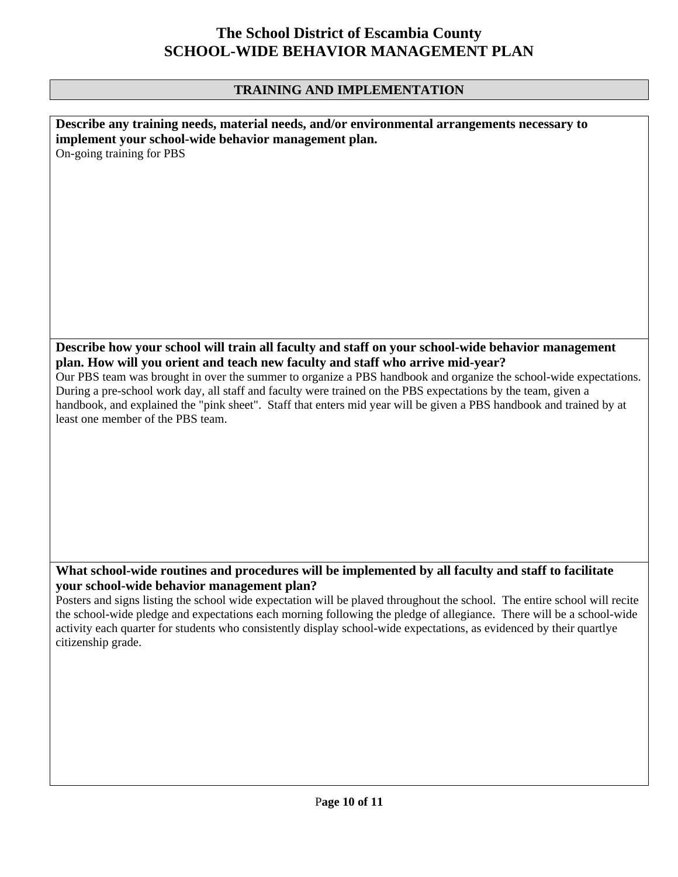#### **TRAINING AND IMPLEMENTATION**

| Describe any training needs, material needs, and/or environmental arrangements necessary to<br>implement your school-wide behavior management plan. |
|-----------------------------------------------------------------------------------------------------------------------------------------------------|
| On-going training for PBS                                                                                                                           |
|                                                                                                                                                     |
|                                                                                                                                                     |
|                                                                                                                                                     |
|                                                                                                                                                     |
|                                                                                                                                                     |
|                                                                                                                                                     |
|                                                                                                                                                     |
|                                                                                                                                                     |
|                                                                                                                                                     |
|                                                                                                                                                     |
|                                                                                                                                                     |
|                                                                                                                                                     |
| Describe how your school will train all faculty and staff on your school-wide behavior management                                                   |
| plan. How will you orient and teach new faculty and staff who arrive mid-year?                                                                      |
| Our PBS team was brought in over the summer to organize a PBS handbook and organize the school-wide expectations.                                   |
| During a pre-school work day, all staff and faculty were trained on the PBS expectations by the team, given a                                       |
| handbook, and explained the "pink sheet". Staff that enters mid year will be given a PBS handbook and trained by at                                 |
| least one member of the PBS team.                                                                                                                   |
|                                                                                                                                                     |
|                                                                                                                                                     |
|                                                                                                                                                     |
|                                                                                                                                                     |
|                                                                                                                                                     |
|                                                                                                                                                     |
|                                                                                                                                                     |
|                                                                                                                                                     |
|                                                                                                                                                     |

### **What school-wide routines and procedures will be implemented by all faculty and staff to facilitate your school-wide behavior management plan?**

Posters and signs listing the school wide expectation will be plaved throughout the school. The entire school will recite the school-wide pledge and expectations each morning following the pledge of allegiance. There will be a school-wide activity each quarter for students who consistently display school-wide expectations, as evidenced by their quartlye citizenship grade.